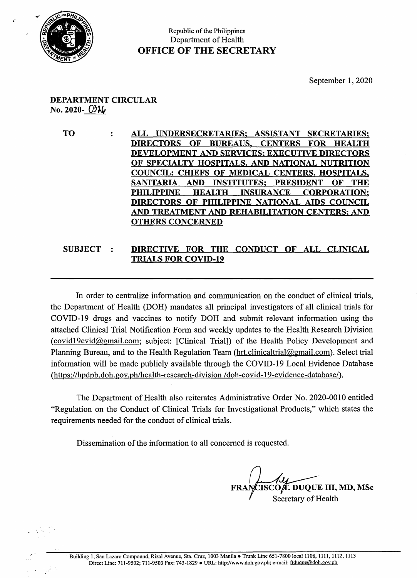

## Republic of the Philippines Department of Health OFFICE OF THE SECRETARY

## DEPARTMENT CIRCULAR  $\text{No. } 2020 - 03\%$

TO : ALL UNDERSECRETARIES: ASSISTANT SECRETARIES: DIRECTORS OF BUREAUS, CENTERS FOR HEALTH DEVELOPMENT AND SERVICES; EXECUTIVE DIRECTORS OF SPECIALTY HOSPITALS, AND NATIONAL NUTRITION COUNCIL; CHIEFS OF MEDICAL CENTERS, HOSPITALS, SANITARIA AND INSTITUTES; PRESIDENT OF THE PHILIPPINE HEALTH INSURANCE CORPORATION: DIRECTORS OF PHILIPPINE NATIONAL AIDS COUNCIL AND TREATMENT AND REHABILITATION CENTERS: AND OTHERS CONCERNED

## DIRECTIVE FOR THE CONDUCT OF ALL CLINICAL **SUBJECT**  $\ddot{\cdot}$ TRIALS FOR COVID-19

In order to centralize information and communication on the conduct of clinical trials, the Department of Health (DOH) mandates all principal investigators of all clinical trials for COVID-19 drugs and vaccines to notify DOH and submit relevant information using the attached Clinical Trial Notification Form and weekly updates to the Health Research Division (covid19evid@gmail.com; subject: [Clinical Trial]) of the Health Policy Development and Planning Bureau, and to the Health Regulation Team (hrt.clinicaltrial@gmail.com). Select trial information will be made publicly available through the COVID-19 Local Evidence Database (https://hpdpb.doh. gov.ph/health-research-division /doh-covid-19-evidence-database/).

The Department of Health also reiterates Administrative Order No. 2020-0010 entitled "Regulation on the Conduct of Clinical Trials for Investigational Products," which states the requirements needed for the conduct of clinical trials.

Dissemination of the information to all concerned is requested.

ISCOÆ. DUQUE III, MD, MSc Secretary of Health